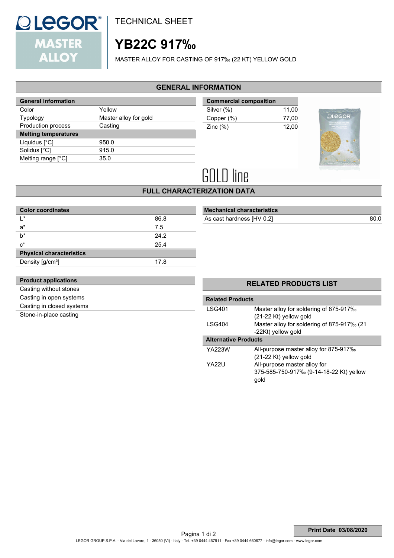

TECHNICAL SHEET

# **YB22C 917‰**

MASTER ALLOY FOR CASTING OF 917‰ (22 KT) YELLOW GOLD

### **GENERAL INFORMATION**

| <b>General information</b>  |                       |  |
|-----------------------------|-----------------------|--|
| Color                       | Yellow                |  |
| <b>Typology</b>             | Master alloy for gold |  |
| Production process          | Casting               |  |
| <b>Melting temperatures</b> |                       |  |
| Liquidus $[^{\circ}C]$      | 950.0                 |  |
|                             |                       |  |
| Solidus [°C]                | 915.0                 |  |
| Melting range [°C]          | 35.0                  |  |

| <b>Commercial composition</b> |       |
|-------------------------------|-------|
| Silver (%)                    | 11.00 |
| Copper (%)                    | 77.00 |
| Zinc $(\%)$                   | 12.00 |
|                               |       |



# **GOLD line**

## **FULL CHARACTERIZATION DATA**

| <b>Color coordinates</b>        |      |  |
|---------------------------------|------|--|
| $\mathsf{I}$ *                  | 86.8 |  |
| $a^*$                           | 7.5  |  |
| $b^*$                           | 24.2 |  |
| $c^*$                           | 25.4 |  |
| <b>Physical characteristics</b> |      |  |
| Density [g/cm <sup>3</sup> ]    | 17.8 |  |

## **Mechanical characteristics**

As cast hardness [HV 0.2] 80.0

| <b>Product applications</b> |  |
|-----------------------------|--|
| Casting without stones      |  |
| Casting in open systems     |  |
| Casting in closed systems   |  |
| Stone-in-place casting      |  |

### **RELATED PRODUCTS LIST**

| <b>Related Products</b>     |                                            |  |
|-----------------------------|--------------------------------------------|--|
| I SG401                     | Master alloy for soldering of 875-917‰     |  |
|                             | $(21-22$ Kt) yellow gold                   |  |
| I SG404                     | Master alloy for soldering of 875-917‰ (21 |  |
|                             | -22Kt) yellow gold                         |  |
| <b>Alternative Products</b> |                                            |  |
| YA223W                      | All-purpose master alloy for 875-917‰      |  |
|                             | $(21-22$ Kt) yellow gold                   |  |
| YA22U                       | All-purpose master alloy for               |  |
|                             | 375-585-750-917‰ (9-14-18-22 Kt) yellow    |  |
|                             | qold                                       |  |